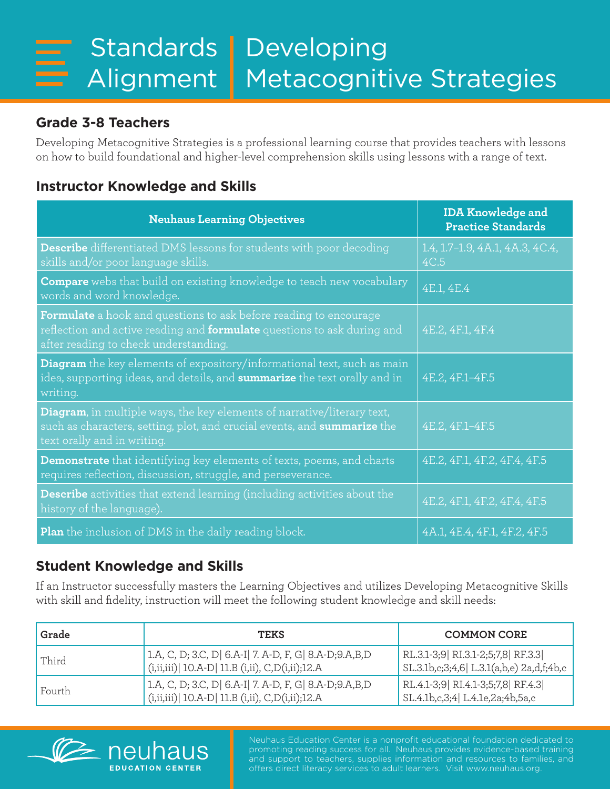## **Grade 3-8 Teachers**

Developing Metacognitive Strategies is a professional learning course that provides teachers with lessons on how to build foundational and higher-level comprehension skills using lessons with a range of text.

## **Instructor Knowledge and Skills**

| <b>Neuhaus Learning Objectives</b>                                                                                                                                                                  | <b>IDA Knowledge and</b><br><b>Practice Standards</b> |
|-----------------------------------------------------------------------------------------------------------------------------------------------------------------------------------------------------|-------------------------------------------------------|
| <b>Describe</b> differentiated DMS lessons for students with poor decoding<br>skills and/or poor language skills.                                                                                   | 1.4, 1.7-1.9, 4A.1, 4A.3, 4C.4,<br>4C.5               |
| <b>Compare</b> webs that build on existing knowledge to teach new vocabulary<br>words and word knowledge.                                                                                           | 4E.1, 4E.4                                            |
| <b>Formulate</b> a hook and questions to ask before reading to encourage<br>reflection and active reading and <b>formulate</b> questions to ask during and<br>after reading to check understanding. | 4E.2, 4F.1, 4F.4                                      |
| <b>Diagram</b> the key elements of expository/informational text, such as main<br>idea, supporting ideas, and details, and summarize the text orally and in<br>writing.                             | 4E.2, 4F.1-4F.5                                       |
| Diagram, in multiple ways, the key elements of narrative/literary text,<br>such as characters, setting, plot, and crucial events, and summarize the<br>text orally and in writing.                  | 4E.2, 4F.1-4F.5                                       |
| Demonstrate that identifying key elements of texts, poems, and charts<br>requires reflection, discussion, struggle, and perseverance.                                                               | 4E.2, 4F.1, 4F.2, 4F.4, 4F.5                          |
| <b>Describe</b> activities that extend learning (including activities about the<br>history of the language).                                                                                        | 4E.2, 4F.1, 4F.2, 4F.4, 4F.5                          |
| <b>Plan</b> the inclusion of DMS in the daily reading block.                                                                                                                                        | 4A.1, 4E.4, 4F.1, 4F.2, 4F.5                          |

## **Student Knowledge and Skills**

**IS** 

**FDUCATION CENTER** 

If an Instructor successfully masters the Learning Objectives and utilizes Developing Metacognitive Skills with skill and fidelity, instruction will meet the following student knowledge and skill needs:

| Grade  | <b>TEKS</b>                                                                                                | <b>COMMON CORE</b>                                                            |
|--------|------------------------------------------------------------------------------------------------------------|-------------------------------------------------------------------------------|
| Third  | 1.A, C, D; 3.C, D  6.A-I  7. A-D, F, G  8.A-D;9.A,B,D<br>(i,ii,iii) 10.A-D   11.B (i,ii), C, D(i,ii); 12.A | RL.3.1-3;9 RI.3.1-2;5;7,8 RF.3.3<br>SL.3.1b,c;3;4,6  L.3.1(a,b,e) 2a,d,f;4b,c |
| Fourth | 1.A, C, D; 3.C, D  6.A-I  7. A-D, F, G  8.A-D;9.A,B,D<br>(i,ii,iii) 10.A-D   11.B (i,ii), C, D(i,ii); 12.A | RL.4.1-3;9 RI.4.1-3;5;7,8 RF.4.3<br>SL.4.1b,c,3;4 L.4.1e,2a;4b,5a,c           |



Neuhaus Education Center is a nonprofit educational foundation dedicated to promoting reading success for all. Neuhaus provides evidence-based training and support to teachers, supplies information and resources to families, and offers direct literacy services to adult learners. Visit www.neuhaus.org.